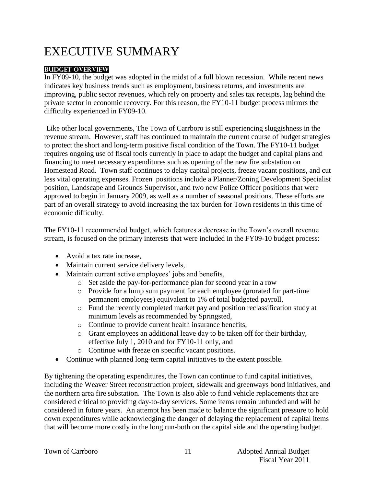# EXECUTIVE SUMMARY

#### **Budget Overview**

In FY09-10, the budget was adopted in the midst of a full blown recession. While recent news indicates key business trends such as employment, business returns, and investments are improving, public sector revenues, which rely on property and sales tax receipts, lag behind the private sector in economic recovery. For this reason, the FY10-11 budget process mirrors the difficulty experienced in FY09-10.

Like other local governments, The Town of Carrboro is still experiencing sluggishness in the revenue stream. However, staff has continued to maintain the current course of budget strategies to protect the short and long-term positive fiscal condition of the Town. The FY10-11 budget requires ongoing use of fiscal tools currently in place to adapt the budget and capital plans and financing to meet necessary expenditures such as opening of the new fire substation on Homestead Road. Town staff continues to delay capital projects, freeze vacant positions, and cut less vital operating expenses. Frozen positions include a Planner/Zoning Development Specialist position, Landscape and Grounds Supervisor, and two new Police Officer positions that were approved to begin in January 2009, as well as a number of seasonal positions. These efforts are part of an overall strategy to avoid increasing the tax burden for Town residents in this time of economic difficulty.

The FY10-11 recommended budget, which features a decrease in the Town's overall revenue stream, is focused on the primary interests that were included in the FY09-10 budget process:

- Avoid a tax rate increase,
- Maintain current service delivery levels,
- Maintain current active employees' jobs and benefits,
	- o Set aside the pay-for-performance plan for second year in a row
	- o Provide for a lump sum payment for each employee (prorated for part-time permanent employees) equivalent to 1% of total budgeted payroll,
	- o Fund the recently completed market pay and position reclassification study at minimum levels as recommended by Springsted,
	- o Continue to provide current health insurance benefits,
	- o Grant employees an additional leave day to be taken off for their birthday, effective July 1, 2010 and for FY10-11 only, and
	- o Continue with freeze on specific vacant positions.
- Continue with planned long-term capital initiatives to the extent possible.

By tightening the operating expenditures, the Town can continue to fund capital initiatives, including the Weaver Street reconstruction project, sidewalk and greenways bond initiatives, and the northern area fire substation. The Town is also able to fund vehicle replacements that are considered critical to providing day-to-day services. Some items remain unfunded and will be considered in future years. An attempt has been made to balance the significant pressure to hold down expenditures while acknowledging the danger of delaying the replacement of capital items that will become more costly in the long run-both on the capital side and the operating budget.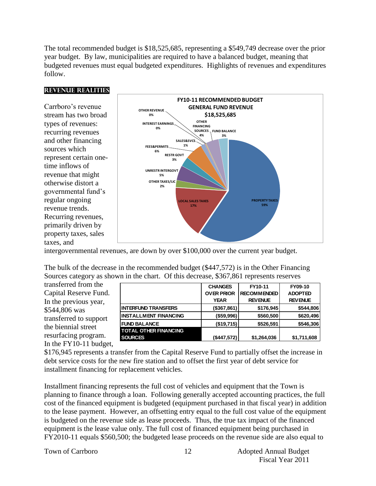The total recommended budget is \$18,525,685, representing a \$549,749 decrease over the prior year budget. By law, municipalities are required to have a balanced budget, meaning that budgeted revenues must equal budgeted expenditures. Highlights of revenues and expenditures follow.

#### **Revenue Realities**

Carrboro's revenue stream has two broad types of revenues: recurring revenues and other financing sources which represent certain onetime inflows of revenue that might otherwise distort a governmental fund's regular ongoing revenue trends. Recurring revenues, primarily driven by property taxes, sales taxes, and



intergovernmental revenues, are down by over \$100,000 over the current year budget.

| The bulk of the decrease in the recommended budget (\$447,572) is in the Other Financing |
|------------------------------------------------------------------------------------------|
| Sources category as shown in the chart. Of this decrease, \$367,861 represents reserves  |

transferred from the Capital Reserve Fund. In the previous year, \$544,806 was transferred to support the biennial street resurfacing program. In the FY10-11 budget,

|                              | <b>CHANGES</b>    | FY10-11            | FY09-10        |
|------------------------------|-------------------|--------------------|----------------|
|                              | <b>OVER PRIOR</b> | <b>RECOMMENDED</b> | <b>ADOPTED</b> |
|                              | <b>YEAR</b>       | <b>REVENUE</b>     | <b>REVENUE</b> |
| <b>INTERFUND TRANSFERS</b>   | (\$367,861)       | \$176,945          | \$544,806      |
| <b>INSTALLMENT FINANCING</b> | (\$59,996)        | \$560,500          | \$620,496      |
| <b>FUND BALANCE</b>          | (\$19,715)        | \$526,591          | \$546,306      |
| <b>TOTAL OTHER FINANCING</b> |                   |                    |                |
| <b>SOURCES</b>               | (\$447,572)       | \$1,264,036        | \$1,711,608    |

\$176,945 represents a transfer from the Capital Reserve Fund to partially offset the increase in debt service costs for the new fire station and to offset the first year of debt service for installment financing for replacement vehicles.

Installment financing represents the full cost of vehicles and equipment that the Town is planning to finance through a loan. Following generally accepted accounting practices, the full cost of the financed equipment is budgeted (equipment purchased in that fiscal year) in addition to the lease payment. However, an offsetting entry equal to the full cost value of the equipment is budgeted on the revenue side as lease proceeds. Thus, the true tax impact of the financed equipment is the lease value only. The full cost of financed equipment being purchased in FY2010-11 equals \$560,500; the budgeted lease proceeds on the revenue side are also equal to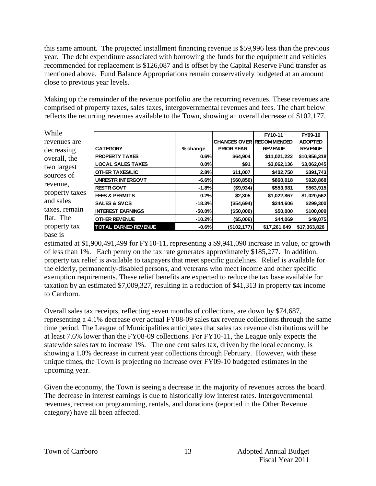this same amount. The projected installment financing revenue is \$59,996 less than the previous year. The debt expenditure associated with borrowing the funds for the equipment and vehicles recommended for replacement is \$126,087 and is offset by the Capital Reserve Fund transfer as mentioned above. Fund Balance Appropriations remain conservatively budgeted at an amount close to previous year levels.

Making up the remainder of the revenue portfolio are the recurring revenues. These revenues are comprised of property taxes, sales taxes, intergovernmental revenues and fees. The chart below reflects the recurring revenues available to the Town, showing an overall decrease of \$102,177.

| While          |                             |           |                   | FY10-11                         | FY09-10        |
|----------------|-----------------------------|-----------|-------------------|---------------------------------|----------------|
| revenues are   |                             |           |                   | <b>CHANGES OVER RECOMMENDED</b> | <b>ADOPTED</b> |
| decreasing     | <b>CATEGORY</b>             | % change  | <b>PRIOR YEAR</b> | <b>REVENUE</b>                  | <b>REVENUE</b> |
| overall, the   | <b>PROPERTY TAXES</b>       | 0.6%      | \$64,904          | \$11,021,222                    | \$10,956,318   |
| two largest    | <b>LOCAL SALES TAXES</b>    | 0.0%      | \$91              | \$3,062,136                     | \$3,062,045    |
|                | <b>OTHER TAXES/LIC</b>      | 2.8%      | \$11,007          | \$402,750                       | \$391,743      |
| sources of     | <b>UNRESTR INTERGOVT</b>    | $-6.6%$   | ( \$60, 850)      | \$860,018                       | \$920,868      |
| revenue,       | <b>RESTR GOVT</b>           | $-1.8%$   | (\$9,934)         | \$553,981                       | \$563,915      |
| property taxes | <b>FEES &amp; PERMITS</b>   | 0.2%      | \$2,305           | \$1,022,867                     | \$1,020,562    |
| and sales      | <b>SALES &amp; SVCS</b>     | $-18.3%$  | ( \$54, 694)      | \$244,606                       | \$299,300      |
| taxes, remain  | <b>INTEREST EARNINGS</b>    | $-50.0\%$ | (\$50,000)        | \$50,000                        | \$100,000      |
| flat. The      | <b>OTHER REVENUE</b>        | $-10.2%$  | (\$5,006)         | \$44,069                        | \$49,075       |
| property tax   | <b>TOTAL EARNED REVENUE</b> | $-0.6%$   | (\$102, 177)      | \$17,261,649                    | \$17,363,826   |
| hase is        |                             |           |                   |                                 |                |

estimated at \$1,900,491,499 for FY10-11, representing a \$9,941,090 increase in value, or growth of less than 1%. Each penny on the tax rate generates approximately \$185,277. In addition, property tax relief is available to taxpayers that meet specific guidelines. Relief is available for the elderly, permanently-disabled persons, and veterans who meet income and other specific exemption requirements. These relief benefits are expected to reduce the tax base available for taxation by an estimated \$7,009,327, resulting in a reduction of \$41,313 in property tax income to Carrboro.

Overall sales tax receipts, reflecting seven months of collections, are down by \$74,687, representing a 4.1% decrease over actual FY08-09 sales tax revenue collections through the same time period. The League of Municipalities anticipates that sales tax revenue distributions will be at least 7.6% lower than the FY08-09 collections. For FY10-11, the League only expects the statewide sales tax to increase 1%. The one cent sales tax, driven by the local economy, is showing a 1.0% decrease in current year collections through February. However, with these unique times, the Town is projecting no increase over FY09-10 budgeted estimates in the upcoming year.

Given the economy, the Town is seeing a decrease in the majority of revenues across the board. The decrease in interest earnings is due to historically low interest rates. Intergovernmental revenues, recreation programming, rentals, and donations (reported in the Other Revenue category) have all been affected.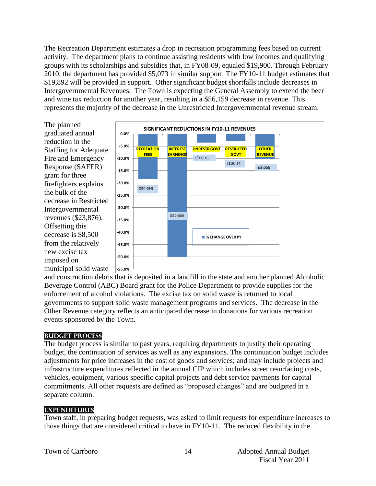The Recreation Department estimates a drop in recreation programming fees based on current activity. The department plans to continue assisting residents with low incomes and qualifying groups with its scholarships and subsidies that, in FY08-09, equaled \$19,900. Through February 2010, the department has provided \$5,073 in similar support. The FY10-11 budget estimates that \$19,892 will be provided in support. Other significant budget shortfalls include decreases in Intergovernmental Revenues. The Town is expecting the General Assembly to extend the beer and wine tax reduction for another year, resulting in a \$56,159 decrease in revenue. This represents the majority of the decrease in the Unrestricted Intergovernmental revenue stream.



and construction debris that is deposited in a landfill in the state and another planned Alcoholic Beverage Control (ABC) Board grant for the Police Department to provide supplies for the enforcement of alcohol violations. The excise tax on solid waste is returned to local governments to support solid waste management programs and services. The decrease in the Other Revenue category reflects an anticipated decrease in donations for various recreation events sponsored by the Town.

#### **Budget Process**

The budget process is similar to past years, requiring departments to justify their operating budget, the continuation of services as well as any expansions. The continuation budget includes adjustments for price increases in the cost of goods and services; and may include projects and infrastructure expenditures reflected in the annual CIP which includes street resurfacing costs, vehicles, equipment, various specific capital projects and debt service payments for capital commitments. All other requests are defined as "proposed changes" and are budgeted in a separate column.

#### **Expenditures**

Town staff, in preparing budget requests, was asked to limit requests for expenditure increases to those things that are considered critical to have in FY10-11. The reduced flexibility in the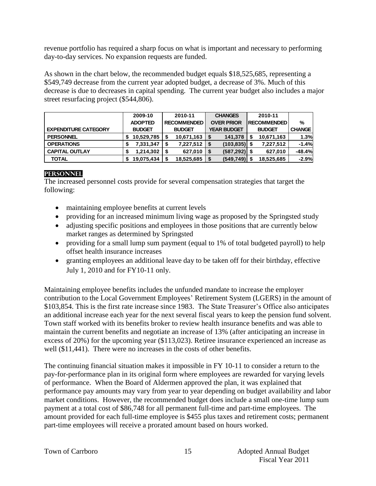revenue portfolio has required a sharp focus on what is important and necessary to performing day-to-day services. No expansion requests are funded.

As shown in the chart below, the recommended budget equals \$18,525,685, representing a \$549,749 decrease from the current year adopted budget, a decrease of 3%. Much of this decrease is due to decreases in capital spending. The current year budget also includes a major street resurfacing project (\$544,806).

|                             | 2009-10        | 2010-11            | <b>CHANGES</b>     | 2010-11             |               |
|-----------------------------|----------------|--------------------|--------------------|---------------------|---------------|
|                             | <b>ADOPTED</b> | <b>RECOMMENDED</b> | <b>OVER PRIOR</b>  | <b>IRECOMMENDED</b> | $\%$          |
| <b>EXPENDITURE CATEGORY</b> | <b>BUDGET</b>  | <b>BUDGET</b>      | <b>YEAR BUDGET</b> | <b>BUDGET</b>       | <b>CHANGE</b> |
| <b>PERSONNEL</b>            | 10,529,785     | 10,671,163         | 141,378            | 10,671,163          | 1.3%          |
| <b>OPERATIONS</b>           | 7,331,347      | 7,227,512<br>S     | (103, 835)         | 7,227,512           | $-1.4%$       |
| <b>CAPITAL OUTLAY</b>       | 1,214,302      | 627,010            | (587, 292)<br>S    | 627.010             | $-48.4%$      |
| <b>TOTAL</b>                | 19,075,434     | 18,525,685         | (549, 749)<br>S    | 18,525,685<br>ደ     | $-2.9%$       |

#### **Personnel**

The increased personnel costs provide for several compensation strategies that target the following:

- maintaining employee benefits at current levels
- providing for an increased minimum living wage as proposed by the Springsted study
- adjusting specific positions and employees in those positions that are currently below market ranges as determined by Springsted
- providing for a small lump sum payment (equal to 1% of total budgeted payroll) to help offset health insurance increases
- granting employees an additional leave day to be taken off for their birthday, effective July 1, 2010 and for FY10-11 only.

Maintaining employee benefits includes the unfunded mandate to increase the employer contribution to the Local Government Employees' Retirement System (LGERS) in the amount of \$103,854. This is the first rate increase since 1983. The State Treasurer's Office also anticipates an additional increase each year for the next several fiscal years to keep the pension fund solvent. Town staff worked with its benefits broker to review health insurance benefits and was able to maintain the current benefits and negotiate an increase of 13% (after anticipating an increase in excess of 20%) for the upcoming year (\$113,023). Retiree insurance experienced an increase as well (\$11,441). There were no increases in the costs of other benefits.

The continuing financial situation makes it impossible in FY 10-11 to consider a return to the pay-for-performance plan in its original form where employees are rewarded for varying levels of performance. When the Board of Aldermen approved the plan, it was explained that performance pay amounts may vary from year to year depending on budget availability and labor market conditions. However, the recommended budget does include a small one-time lump sum payment at a total cost of \$86,748 for all permanent full-time and part-time employees. The amount provided for each full-time employee is \$455 plus taxes and retirement costs; permanent part-time employees will receive a prorated amount based on hours worked.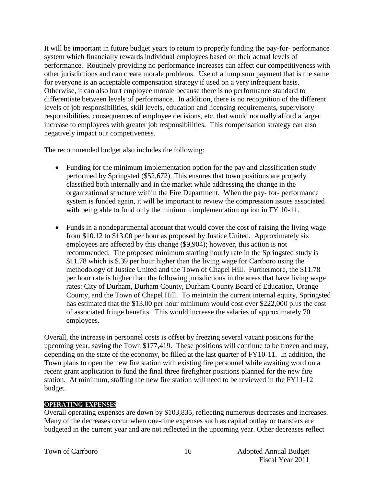It will be important in future budget years to return to properly funding the pay-for- performance system which financially rewards individual employees based on their actual levels of performance. Routinely providing no performance increases can affect our competitiveness with other jurisdictions and can create morale problems. Use of a lump sum payment that is the same for everyone is an acceptable compensation strategy if used on a very infrequent basis. Otherwise, it can also hurt employee morale because there is no performance standard to differentiate between levels of performance. In addition, there is no recognition of the different levels of job responsibilities, skill levels, education and licensing requirements, supervisory responsibilities, consequences of employee decisions, etc. that would normally afford a larger increase to employees with greater job responsibilities. This compensation strategy can also negatively impact our competiveness.

The recommended budget also includes the following:

- Funding for the minimum implementation option for the pay and classification study performed by Springsted (\$52,672). This ensures that town positions are properly classified both internally and in the market while addressing the change in the organizational structure within the Fire Department. When the pay- for- performance system is funded again, it will be important to review the compression issues associated with being able to fund only the minimum implementation option in FY 10-11.
- Funds in a nondepartmental account that would cover the cost of raising the living wage from \$10.12 to \$13.00 per hour as proposed by Justice United. Approximately six employees are affected by this change (\$9,904); however, this action is not recommended. The proposed minimum starting hourly rate in the Springsted study is \$11.78 which is \$.39 per hour higher than the living wage for Carrboro using the methodology of Justice United and the Town of Chapel Hill. Furthermore, the \$11.78 per hour rate is higher than the following jurisdictions in the areas that have living wage rates: City of Durham, Durham County, Durham County Board of Education, Orange County, and the Town of Chapel Hill. To maintain the current internal equity, Springsted has estimated that the \$13.00 per hour minimum would cost over \$222,000 plus the cost of associated fringe benefits. This would increase the salaries of approximately 70 employees.

Overall, the increase in personnel costs is offset by freezing several vacant positions for the upcoming year, saving the Town \$177,419. These positions will continue to be frozen and may, depending on the state of the economy, be filled at the last quarter of FY10-11. In addition, the Town plans to open the new fire station with existing fire personnel while awaiting word on a recent grant application to fund the final three firefighter positions planned for the new fire station. At minimum, staffing the new fire station will need to be reviewed in the FY11-12 budget.

#### **Operating Expenses**

Overall operating expenses are down by \$103,835, reflecting numerous decreases and increases. Many of the decreases occur when one-time expenses such as capital outlay or transfers are budgeted in the current year and are not reflected in the upcoming year. Other decreases reflect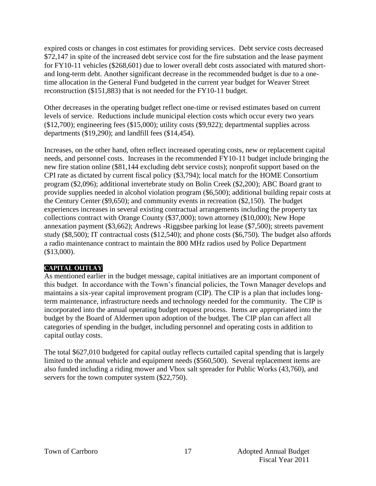expired costs or changes in cost estimates for providing services. Debt service costs decreased \$72,147 in spite of the increased debt service cost for the fire substation and the lease payment for FY10-11 vehicles (\$268,601) due to lower overall debt costs associated with matured shortand long-term debt. Another significant decrease in the recommended budget is due to a onetime allocation in the General Fund budgeted in the current year budget for Weaver Street reconstruction (\$151,883) that is not needed for the FY10-11 budget.

Other decreases in the operating budget reflect one-time or revised estimates based on current levels of service. Reductions include municipal election costs which occur every two years (\$12,700); engineering fees (\$15,000); utility costs (\$9,922); departmental supplies across departments (\$19,290); and landfill fees (\$14,454).

Increases, on the other hand, often reflect increased operating costs, new or replacement capital needs, and personnel costs. Increases in the recommended FY10-11 budget include bringing the new fire station online (\$81,144 excluding debt service costs); nonprofit support based on the CPI rate as dictated by current fiscal policy (\$3,794); local match for the HOME Consortium program (\$2,096); additional invertebrate study on Bolin Creek (\$2,200); ABC Board grant to provide supplies needed in alcohol violation program (\$6,500); additional building repair costs at the Century Center (\$9,650); and community events in recreation (\$2,150). The budget experiences increases in several existing contractual arrangements including the property tax collections contract with Orange County (\$37,000); town attorney (\$10,000); New Hope annexation payment (\$3,662); Andrews -Riggsbee parking lot lease (\$7,500); streets pavement study (\$8,500); IT contractual costs (\$12,540); and phone costs (\$6,750). The budget also affords a radio maintenance contract to maintain the 800 MHz radios used by Police Department (\$13,000).

#### **Capital Outlay**

As mentioned earlier in the budget message, capital initiatives are an important component of this budget. In accordance with the Town's financial policies, the Town Manager develops and maintains a six-year capital improvement program (CIP). The CIP is a plan that includes longterm maintenance, infrastructure needs and technology needed for the community. The CIP is incorporated into the annual operating budget request process. Items are appropriated into the budget by the Board of Aldermen upon adoption of the budget. The CIP plan can affect all categories of spending in the budget, including personnel and operating costs in addition to capital outlay costs.

The total \$627,010 budgeted for capital outlay reflects curtailed capital spending that is largely limited to the annual vehicle and equipment needs (\$560,500). Several replacement items are also funded including a riding mower and Vbox salt spreader for Public Works (43,760), and servers for the town computer system (\$22,750).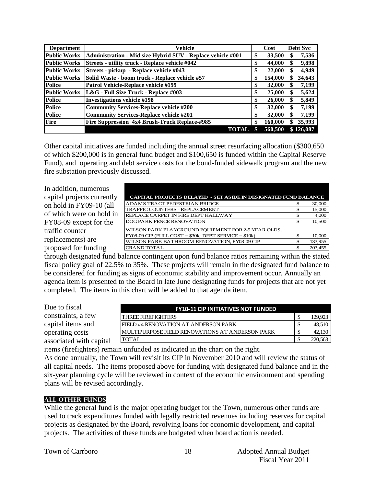| <b>Department</b>   | <b>Vehicle</b>                                              |    | Cost    | <b>Debt Svc</b> |
|---------------------|-------------------------------------------------------------|----|---------|-----------------|
| <b>Public Works</b> | Administration - Mid size Hybrid SUV - Replace vehicle #001 | \$ | 33,500  | 7,536<br>S      |
| <b>Public Works</b> | Streets - utility truck - Replace vehicle #042              | \$ | 44,000  | 9,898<br>\$     |
| <b>Public Works</b> | Streets - pickup - Replace vehicle #043                     | \$ | 22,000  | 4,949<br>\$     |
| <b>Public Works</b> | Solid Waste - boom truck - Replace vehicle #57              | S  | 154,000 | 34,643<br>\$    |
| <b>Police</b>       | Patrol Vehicle-Replace vehicle #199                         | \$ | 32,000  | 7,199<br>\$     |
| <b>Public Works</b> | L&G - Full Size Truck - Replace #003                        | \$ | 25,000  | \$<br>5,624     |
| <b>Police</b>       | <b>Investigations vehicle #198</b>                          | \$ | 26,000  | 5,849<br>\$     |
| <b>Police</b>       | <b>Community Services-Replace vehicle #200</b>              | \$ | 32,000  | 7,199<br>\$     |
| <b>Police</b>       | <b>Community Services-Replace vehicle #201</b>              | \$ | 32,000  | 7,199<br>\$     |
| <b>Fire</b>         | Fire Suppression 4x4 Brush-Truck Replace-#985               | \$ | 160,000 | 35,993<br>\$    |
|                     | <b>TOTAL</b>                                                |    | 560,500 | \$126,087       |

Other capital initiatives are funded including the annual street resurfacing allocation (\$300,650 of which \$200,000 is in general fund budget and \$100,650 is funded within the Capital Reserve Fund), and operating and debt service costs for the bond-funded sidewalk program and the new fire substation previously discussed.

In addition, numerous capital projects currently on hold in FY09-10 (all of which were on hold in FY08-09 except for the traffic counter replacements) are proposed for funding

| <b>CAPITAL PROJECTS DELAYED - SET ASIDE IN DESIGNATED FUND BALANCE</b> |   |         |
|------------------------------------------------------------------------|---|---------|
| ADAMS TRACT PEDESTRIAN BRIDGE                                          |   | 30,000  |
| TRAFFIC COUNTERS - REPLACEMENT                                         |   | 15,000  |
| REPLACE CARPET IN FIRE DEPT HALLWAY                                    |   | 4,000   |
| DOG PARK FENCE RENOVATION                                              |   | 10.500  |
| WILSON PARK PLAYGROUND EQUIPMENT FOR 2-5 YEAR OLDS,                    |   |         |
| $FY08-09$ CIP (FULL COST = \$30k; DEBT SERVICE = \$10k)                | S | 10,000  |
| WILSON PARK BATHROOM RENOVATION, FY08-09 CIP                           |   | 133,955 |
| <b>GRAND TOTAL</b>                                                     |   | 203.45: |

through designated fund balance contingent upon fund balance ratios remaining within the stated fiscal policy goal of 22.5% to 35%. These projects will remain in the designated fund balance to be considered for funding as signs of economic stability and improvement occur. Annually an agenda item is presented to the Board in late June designating funds for projects that are not yet completed. The items in this chart will be added to that agenda item.

| Due to fiscal           | <b>FY10-11 CIP INITIATIVES NOT FUNDED</b>               |         |
|-------------------------|---------------------------------------------------------|---------|
| constraints, a few      | <b>THREE FIREFIGHTERS</b>                               | 129,923 |
| capital items and       | <b>FIELD #4 RENOVATION AT ANDERSON PARK</b>             | 48,510  |
| operating costs         | <b>IMULTIPURPOSE FIELD RENOVATIONS AT ANDERSON PARK</b> | 42,130  |
| associated with capital | <b>TOTAL</b>                                            | 220,563 |

items (firefighters) remain unfunded as indicated in the chart on the right.

As done annually, the Town will revisit its CIP in November 2010 and will review the status of all capital needs. The items proposed above for funding with designated fund balance and in the six-year planning cycle will be reviewed in context of the economic environment and spending plans will be revised accordingly.

#### **All Other Funds**

While the general fund is the major operating budget for the Town, numerous other funds are used to track expenditures funded with legally restricted revenues including reserves for capital projects as designated by the Board, revolving loans for economic development, and capital projects. The activities of these funds are budgeted when board action is needed.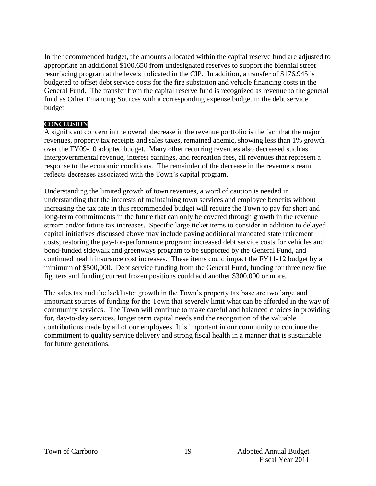In the recommended budget, the amounts allocated within the capital reserve fund are adjusted to appropriate an additional \$100,650 from undesignated reserves to support the biennial street resurfacing program at the levels indicated in the CIP. In addition, a transfer of \$176,945 is budgeted to offset debt service costs for the fire substation and vehicle financing costs in the General Fund. The transfer from the capital reserve fund is recognized as revenue to the general fund as Other Financing Sources with a corresponding expense budget in the debt service budget.

#### **Conclusion**

A significant concern in the overall decrease in the revenue portfolio is the fact that the major revenues, property tax receipts and sales taxes, remained anemic, showing less than 1% growth over the FY09-10 adopted budget. Many other recurring revenues also decreased such as intergovernmental revenue, interest earnings, and recreation fees, all revenues that represent a response to the economic conditions. The remainder of the decrease in the revenue stream reflects decreases associated with the Town's capital program.

Understanding the limited growth of town revenues, a word of caution is needed in understanding that the interests of maintaining town services and employee benefits without increasing the tax rate in this recommended budget will require the Town to pay for short and long-term commitments in the future that can only be covered through growth in the revenue stream and/or future tax increases. Specific large ticket items to consider in addition to delayed capital initiatives discussed above may include paying additional mandated state retirement costs; restoring the pay-for-performance program; increased debt service costs for vehicles and bond-funded sidewalk and greenways program to be supported by the General Fund, and continued health insurance cost increases. These items could impact the FY11-12 budget by a minimum of \$500,000. Debt service funding from the General Fund, funding for three new fire fighters and funding current frozen positions could add another \$300,000 or more.

The sales tax and the lackluster growth in the Town's property tax base are two large and important sources of funding for the Town that severely limit what can be afforded in the way of community services. The Town will continue to make careful and balanced choices in providing for, day-to-day services, longer term capital needs and the recognition of the valuable contributions made by all of our employees. It is important in our community to continue the commitment to quality service delivery and strong fiscal health in a manner that is sustainable for future generations.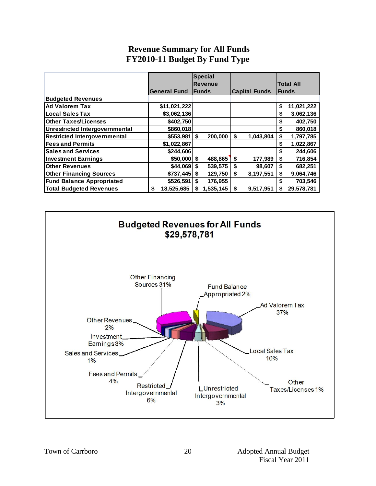# **Revenue Summary for All Funds FY2010-11 Budget By Fund Type**

|                                     |   |                     | <b>Special</b> |               |    |                      |                  |
|-------------------------------------|---|---------------------|----------------|---------------|----|----------------------|------------------|
|                                     |   |                     | <b>Revenue</b> |               |    |                      | <b>Total All</b> |
|                                     |   | <b>General Fund</b> |                | <b>IFunds</b> |    | <b>Capital Funds</b> | <b>Funds</b>     |
| <b>Budgeted Revenues</b>            |   |                     |                |               |    |                      |                  |
| <b>Ad Valorem Tax</b>               |   | \$11,021,222        |                |               |    |                      | \$<br>11,021,222 |
| <b>Local Sales Tax</b>              |   | \$3,062,136         |                |               |    |                      | \$<br>3,062,136  |
| <b>Other Taxes/Licenses</b>         |   | \$402,750           |                |               |    |                      | \$<br>402,750    |
| Unrestricted Intergovernmental      |   | \$860,018           |                |               |    |                      | \$<br>860,018    |
| <b>Restricted Intergovernmental</b> |   | \$553,981           | \$             | 200,000       | \$ | 1,043,804            | \$<br>1,797,785  |
| <b>Fees and Permits</b>             |   | \$1,022,867         |                |               |    |                      | \$<br>1,022,867  |
| <b>Sales and Services</b>           |   | \$244.606           |                |               |    |                      | \$<br>244,606    |
| <b>Investment Earnings</b>          |   | $$50,000$ \$        |                | 488,865       | \$ | 177,989              | \$<br>716,854    |
| <b>Other Revenues</b>               |   | $$44,069$ \$        |                | 539,575       | \$ | 98,607               | \$<br>682,251    |
| <b>Other Financing Sources</b>      |   | $$737,445$ \$       |                | 129,750       | \$ | 8,197,551            | \$<br>9,064,746  |
| <b>Fund Balance Appropriated</b>    |   | \$526,591           | \$             | 176,955       |    |                      | \$<br>703,546    |
| <b>Total Budgeted Revenues</b>      | S | 18,525,685          | S              | 1,535,145     | \$ | 9,517,951            | \$<br>29,578,781 |

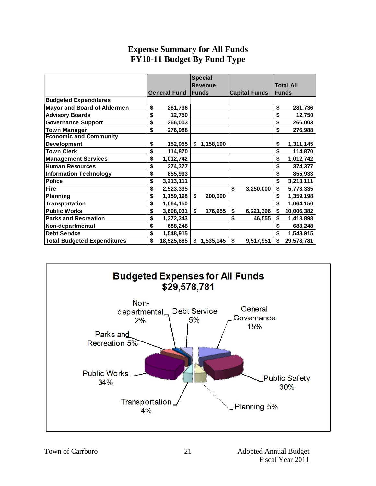# **Expense Summary for All Funds FY10-11 Budget By Fund Type**

|                                    |                     | <b>Special</b>  |                      |                  |
|------------------------------------|---------------------|-----------------|----------------------|------------------|
|                                    |                     | <b>Revenue</b>  |                      | <b>Total All</b> |
|                                    | <b>General Fund</b> | <b>Funds</b>    | <b>Capital Funds</b> | <b>Funds</b>     |
| <b>Budgeted Expenditures</b>       |                     |                 |                      |                  |
| <b>Mayor and Board of Aldermen</b> | \$<br>281,736       |                 |                      | \$<br>281,736    |
| <b>Advisory Boards</b>             | \$<br>12,750        |                 |                      | \$<br>12,750     |
| <b>Governance Support</b>          | \$<br>266,003       |                 |                      | \$<br>266,003    |
| <b>Town Manager</b>                | \$<br>276,988       |                 |                      | \$<br>276,988    |
| <b>Economic and Community</b>      |                     |                 |                      |                  |
| Development                        | \$<br>152,955       | \$1,158,190     |                      | \$<br>1,311,145  |
| <b>Town Clerk</b>                  | \$<br>114,870       |                 |                      | \$<br>114,870    |
| <b>Management Services</b>         | \$<br>1,012,742     |                 |                      | \$<br>1,012,742  |
| <b>Human Resources</b>             | \$<br>374,377       |                 |                      | \$<br>374,377    |
| <b>Information Technology</b>      | \$<br>855,933       |                 |                      | \$<br>855,933    |
| <b>Police</b>                      | \$<br>3,213,111     |                 |                      | \$<br>3,213,111  |
| <b>Fire</b>                        | \$<br>2,523,335     |                 | \$<br>3,250,000      | \$<br>5,773,335  |
| Planning                           | \$<br>1,159,198     | \$<br>200,000   |                      | \$<br>1,359,198  |
| Transportation                     | \$<br>1,064,150     |                 |                      | \$<br>1,064,150  |
| <b>Public Works</b>                | \$<br>3,608,031     | \$<br>176,955   | \$<br>6,221,396      | \$<br>10,006,382 |
| <b>Parks and Recreation</b>        | \$<br>1,372,343     |                 | \$<br>46,555         | \$<br>1,418,898  |
| Non-departmental                   | \$<br>688,248       |                 |                      | \$<br>688,248    |
| <b>Debt Service</b>                | \$<br>1,548,915     |                 |                      | \$<br>1,548,915  |
| <b>Total Budgeted Expenditures</b> | \$<br>18,525,685    | \$<br>1,535,145 | \$<br>9,517,951      | \$<br>29,578,781 |

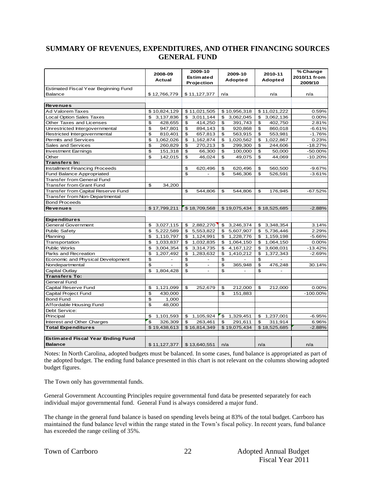#### **SUMMARY OF REVENUES, EXPENDITURES, AND OTHER FINANCING SOURCES GENERAL FUND**

|                                          | 2008-09<br><b>Actual</b>  | 2009-10<br><b>Estimated</b><br>Projection | 2009-10<br>Adopted | 2010-11<br>Adopted          | % Change<br>2010/11 from<br>2009/10 |
|------------------------------------------|---------------------------|-------------------------------------------|--------------------|-----------------------------|-------------------------------------|
| Estimated Fiscal Year Beginning Fund     |                           |                                           |                    |                             |                                     |
| <b>Balance</b>                           | \$12,766,779              | \$11,127,377                              | n/a                | n/a                         | n/a                                 |
| <b>Revenues</b>                          |                           |                                           |                    |                             |                                     |
| Ad Valorem Taxes                         | \$10,824,129              | \$11,021,505                              | \$10,956,318       | \$11,021,222                | 0.59%                               |
| <b>Local Option Sales Taxes</b>          | \$<br>3,137,836           | 3,011,144<br>\$                           | 3,062,045<br>\$    | 3,062,136<br>\$             | 0.00%                               |
| Other Taxes and Licenses                 | \$<br>428,655             | \$<br>414,250                             | \$<br>391,743      | \$<br>402,750               | 2.81%                               |
| Unrestricted Intergovernmental           | \$<br>947,801             | \$<br>894,143                             | \$<br>920,868      | \$<br>860,018               | $-6.61%$                            |
| Restricted Intergovernmental             | \$<br>810,401             | \$<br>657,813                             | \$<br>563,915      | \$<br>553,981               | $-1.76%$                            |
| Permits and Services                     | \$<br>1,062,026           | \$<br>1,162,874                           | \$<br>1,020,562    | \$<br>1,022,867             | 0.23%                               |
| Sales and Services                       | \$<br>260,829             | 270,213<br>\$                             | 299,300<br>\$      | \$<br>244,606               | $-18.27%$                           |
| <b>Investment Earnings</b>               | \$<br>151,318             | \$<br>66,300                              | \$<br>100,000      | \$<br>50,000                | $-50.00%$                           |
| Other                                    | \$<br>142,015             | 46,024<br>\$                              | 49,075<br>\$       | \$<br>44,069                | $-10.20%$                           |
| Transfers In:                            |                           |                                           |                    |                             |                                     |
| <b>Installment Financing Proceeds</b>    |                           | \$<br>620,496                             | \$<br>620,496      | \$<br>560,500               | $-9.67%$                            |
| Fund Balance Appropriated                |                           | \$<br>$\blacksquare$                      | \$<br>546,306      | \$<br>526,591               | $-3.61%$                            |
| <b>Transfer from General Fund</b>        |                           |                                           |                    |                             |                                     |
| Transfer from Grant Fund                 | \$<br>34,200              |                                           |                    |                             |                                     |
| Transfer from Capital Reserve Fund       |                           | \$<br>544.806                             | \$<br>544.806      | \$<br>176.945               | $-67.52%$                           |
| Transfer from Non-Departmental           |                           |                                           |                    |                             |                                     |
| <b>Bond Proceeds</b>                     |                           |                                           |                    |                             |                                     |
| <b>Revenues</b>                          | \$17,799,211              | \$18,709,568                              | \$19,075,434       | \$18,525,685                | $-2.88%$                            |
|                                          |                           |                                           |                    |                             |                                     |
| <b>Expenditures</b>                      |                           |                                           |                    |                             |                                     |
| <b>General Government</b>                | \$<br>3,027,115           | 2,882,270<br>\$                           | \$<br>3,246,374    | \$<br>3,348,354             | 3.14%                               |
| <b>Public Safety</b>                     | $\mathbf{s}$<br>5,222,589 | 5,553,822<br>\$                           | \$<br>5,607,907    | \$<br>5.736.446             | 2.29%                               |
| Planning                                 | \$<br>1,110,797           | \$<br>1,124,991                           | \$<br>1,228,776    | \$<br>1,159,198             | $-5.66%$                            |
| Transportation                           | $\mathbf{s}$<br>1,033,837 | \$<br>1,032,835                           | \$<br>1,064,150    | \$<br>1,064,150             | 0.00%                               |
| <b>Public Works</b>                      | \$<br>3,004,354           | \$<br>3,314,735                           | \$<br>4, 167, 122  | \$<br>3,608,031             | $-13.42%$                           |
| Parks and Recreation                     | \$<br>1,207,492           | \$<br>1,283,632                           | \$<br>1,410,212    | $\mathfrak{s}$<br>1,372,343 | $-2.69%$                            |
| Economic and Physical Development        | \$                        | \$                                        | \$                 | \$                          |                                     |
| Nondepartmental                          | \$                        | \$<br>$\blacksquare$                      | \$<br>365,948      | \$<br>476,248               | 30.14%                              |
| Capital Outlay                           | \$<br>1,804,428           | \$<br>$\overline{a}$                      | \$                 | \$                          |                                     |
| <b>Transfers To:</b>                     |                           |                                           |                    |                             |                                     |
| General Fund                             |                           |                                           |                    |                             |                                     |
| Capital Reserve Fund                     | \$<br>1,121,099           | \$<br>252,679                             | \$<br>212,000      | \$<br>212,000               | 0.00%                               |
| Capital Project Fund                     | \$<br>430,000             |                                           | \$<br>151,883      |                             | $-100.00\%$                         |
| <b>Bond Fund</b>                         | \$<br>1,000               |                                           |                    |                             |                                     |
| Affordable Housing Fund                  | \$<br>48,000              |                                           |                    |                             |                                     |
| Debt Service:                            |                           |                                           |                    |                             |                                     |
| Principal                                | 1,101,593<br>\$           | 1,105,924<br>\$                           | 1,329,451<br>\$    | 1,237,001<br>\$             | $-6.95%$                            |
| Interest and Other Charges               | $\mathfrak{s}$<br>326,309 | \$<br>263,461                             | \$<br>291,611      | \$<br>311,914               | 6.96%                               |
| <b>Total Expenditures</b>                | \$19,438,613              | \$16,814,349                              | \$19,075,434       | \$18,525,685                | $-2.88%$                            |
|                                          |                           |                                           |                    |                             |                                     |
| <b>Estimated Fiscal Year Ending Fund</b> |                           |                                           |                    |                             |                                     |
| <b>Balance</b>                           | \$11,127,377              | \$13.640.551                              | n/a                | n/a                         | n/a                                 |

Notes: In North Carolina, adopted budgets must be balanced. In some cases, fund balance is appropriated as part of the adopted budget. The ending fund balance presented in this chart is not relevant on the columns showing adopted budget figures.

The Town only has governmental funds.

General Government Accounting Principles require governmental fund data be presented separately for each individual major governmental fund. General Fund is always considered a major fund.

The change in the general fund balance is based on spending levels being at 83% of the total budget. Carrboro has maintained the fund balance level within the range stated in the Town's fiscal policy. In recent years, fund balance has exceeded the range ceiling of 35%.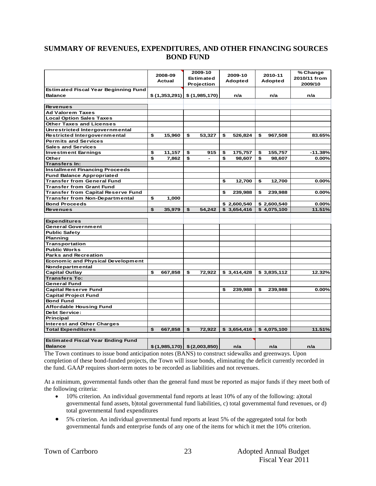#### **SUMMARY OF REVENUES, EXPENDITURES, AND OTHER FINANCING SOURCES BOND FUND**

|                                             | 2008-09<br>Actual             | 2009-10<br>Estimated<br>Projection |        | 2009-10<br><b>Adopted</b> |             | 2010-11<br>Adopted |             | % Change<br>2010/11 from<br>2009/10 |
|---------------------------------------------|-------------------------------|------------------------------------|--------|---------------------------|-------------|--------------------|-------------|-------------------------------------|
| <b>Estimated Fiscal Year Beginning Fund</b> |                               |                                    |        |                           |             |                    |             |                                     |
| <b>Balance</b>                              | $$(1,353,291)$ $$(1,985,170)$ |                                    |        |                           | n/a         |                    | n/a         | n/a                                 |
|                                             |                               |                                    |        |                           |             |                    |             |                                     |
| <b>Revenues</b>                             |                               |                                    |        |                           |             |                    |             |                                     |
| <b>Ad Valorem Taxes</b>                     |                               |                                    |        |                           |             |                    |             |                                     |
| <b>Local Option Sales Taxes</b>             |                               |                                    |        |                           |             |                    |             |                                     |
| <b>Other Taxes and Licenses</b>             |                               |                                    |        |                           |             |                    |             |                                     |
| Unrestricted Intergovernmental              |                               |                                    |        |                           |             |                    |             |                                     |
| Restricted Intergovernmental                | \$<br>15,960                  | \$                                 | 53,327 | \$                        | 526,824     | \$                 | 967,508     | 83.65%                              |
| <b>Permits and Services</b>                 |                               |                                    |        |                           |             |                    |             |                                     |
| <b>Sales and Services</b>                   |                               |                                    |        |                           |             |                    |             |                                     |
| <b>Investment Earnings</b>                  | \$<br>11,157                  | \$                                 | 915    | \$                        | 175,757     | \$                 | 155,757     | $-11.38%$                           |
| Other                                       | \$<br>7,862                   | \$                                 |        | £.                        | 98,607      | \$                 | 98,607      | 0.00%                               |
| <b>Transfers In:</b>                        |                               |                                    |        |                           |             |                    |             |                                     |
| <b>Installment Financing Proceeds</b>       |                               |                                    |        |                           |             |                    |             |                                     |
| <b>Fund Balance Appropriated</b>            |                               |                                    |        |                           |             |                    |             |                                     |
| <b>Transfer from General Fund</b>           |                               |                                    |        | \$                        | 12,700      | \$                 | 12,700      | 0.00%                               |
| <b>Transfer from Grant Fund</b>             |                               |                                    |        |                           |             |                    |             |                                     |
| <b>Transfer from Capital Reserve Fund</b>   |                               |                                    |        | \$                        | 239,988     | \$                 | 239,988     | 0.00%                               |
| Transfer from Non-Departmental              | \$<br>1,000                   |                                    |        |                           |             |                    |             |                                     |
| <b>Bond Proceeds</b>                        |                               |                                    |        |                           | \$2,600,540 |                    | \$2,600,540 | 0.00%                               |
| <b>Revenues</b>                             | \$<br>35,979                  | \$                                 | 54,242 |                           | \$3,654,416 |                    | \$4,075,100 | 11.51%                              |
|                                             |                               |                                    |        |                           |             |                    |             |                                     |
| <b>Expenditures</b>                         |                               |                                    |        |                           |             |                    |             |                                     |
| <b>General Government</b>                   |                               |                                    |        |                           |             |                    |             |                                     |
| <b>Public Safety</b>                        |                               |                                    |        |                           |             |                    |             |                                     |
| Planning                                    |                               |                                    |        |                           |             |                    |             |                                     |
| Transportation                              |                               |                                    |        |                           |             |                    |             |                                     |
| <b>Public Works</b>                         |                               |                                    |        |                           |             |                    |             |                                     |
| <b>Parks and Recreation</b>                 |                               |                                    |        |                           |             |                    |             |                                     |
| <b>Economic and Physical Development</b>    |                               |                                    |        |                           |             |                    |             |                                     |
| Nondepartmental                             |                               |                                    |        |                           |             |                    |             |                                     |
| <b>Capital Outlay</b>                       | \$<br>667,858                 | \$                                 | 72,922 |                           | \$3,414,428 |                    | \$3,835,112 | 12.32%                              |
| <b>Transfers To:</b>                        |                               |                                    |        |                           |             |                    |             |                                     |
| <b>General Fund</b>                         |                               |                                    |        |                           |             |                    |             |                                     |
| <b>Capital Reserve Fund</b>                 |                               |                                    |        | £.                        | 239,988     | \$                 | 239,988     | 0.00%                               |
| <b>Capital Project Fund</b>                 |                               |                                    |        |                           |             |                    |             |                                     |
|                                             |                               |                                    |        |                           |             |                    |             |                                     |
| <b>Bond Fund</b>                            |                               |                                    |        |                           |             |                    |             |                                     |
| <b>Affordable Housing Fund</b>              |                               |                                    |        |                           |             |                    |             |                                     |
| Debt Service:                               |                               |                                    |        |                           |             |                    |             |                                     |
| <b>Principal</b>                            |                               |                                    |        |                           |             |                    |             |                                     |
| <b>Interest and Other Charges</b>           |                               |                                    |        |                           |             |                    |             |                                     |
| <b>Total Expenditures</b>                   | \$<br>667,858                 | \$                                 | 72,922 |                           | \$3,654,416 |                    | \$4,075,100 | 11.51%                              |
|                                             |                               |                                    |        |                           |             |                    |             |                                     |
| <b>Estimated Fiscal Year Ending Fund</b>    |                               |                                    |        |                           |             |                    |             |                                     |
| <b>Balance</b>                              | $$(1,985,170)$ $$(2,003,850)$ |                                    |        |                           | n/a         |                    | n/a         | n/a                                 |

The Town continues to issue bond anticipation notes (BANS) to construct sidewalks and greenways. Upon completion of these bond-funded projects, the Town will issue bonds, eliminating the deficit currently recorded in the fund. GAAP requires short-term notes to be recorded as liabilities and not revenues.

At a minimum, governmental funds other than the general fund must be reported as major funds if they meet both of the following criteria:

- 10% criterion. An individual governmental fund reports at least 10% of any of the following: a)total governmental fund assets, b)total governmental fund liabilities, c) total governmental fund revenues, or d) total governmental fund expenditures
- 5% criterion. An individual governmental fund reports at least 5% of the aggregated total for both governmental funds and enterprise funds of any one of the items for which it met the 10% criterion.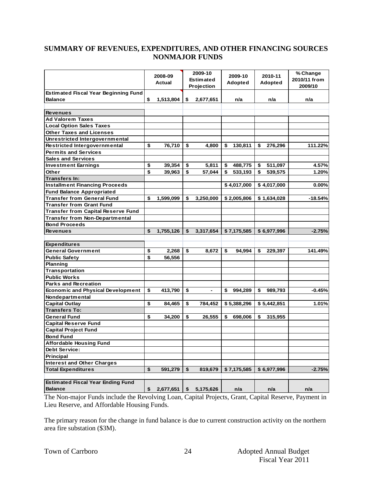#### **SUMMARY OF REVENUES, EXPENDITURES, AND OTHER FINANCING SOURCES NONMAJOR FUNDS**

|                                             | 2008-09<br>Actual | 2009-10<br><b>Estimated</b><br>Projection | 2009-10<br>Adopted |             | 2010-11<br>Adopted |             | % Change<br>2010/11 from<br>2009/10 |
|---------------------------------------------|-------------------|-------------------------------------------|--------------------|-------------|--------------------|-------------|-------------------------------------|
| <b>Estimated Fiscal Year Beginning Fund</b> |                   |                                           |                    |             |                    |             |                                     |
| <b>Balance</b>                              | \$<br>1,513,804   | \$<br>2,677,651                           |                    | n/a         |                    | n/a         | n/a                                 |
|                                             |                   |                                           |                    |             |                    |             |                                     |
| <b>Revenues</b>                             |                   |                                           |                    |             |                    |             |                                     |
| Ad Valorem Taxes                            |                   |                                           |                    |             |                    |             |                                     |
| <b>Local Option Sales Taxes</b>             |                   |                                           |                    |             |                    |             |                                     |
| <b>Other Taxes and Licenses</b>             |                   |                                           |                    |             |                    |             |                                     |
| Unrestricted Intergovernmental              |                   |                                           |                    |             |                    |             |                                     |
| Restricted Intergovernmental                | \$<br>76,710      | \$<br>4,800                               | \$                 | 130,811     | \$                 | 276,296     | 111.22%                             |
| <b>Permits and Services</b>                 |                   |                                           |                    |             |                    |             |                                     |
| <b>Sales and Services</b>                   |                   |                                           |                    |             |                    |             |                                     |
| <b>Investment Earnings</b>                  | \$<br>39,354      | \$<br>5,811                               | \$                 | 488,775     | \$                 | 511,097     | 4.57%                               |
| Other                                       | \$<br>39,963      | \$<br>57,044                              | \$                 | 533,193     | \$                 | 539,575     | 1.20%                               |
| Transfers In:                               |                   |                                           |                    |             |                    |             |                                     |
| <b>Installment Financing Proceeds</b>       |                   |                                           |                    | \$4,017,000 |                    | \$4,017,000 | $0.00\%$                            |
| <b>Fund Balance Appropriated</b>            |                   |                                           |                    |             |                    |             |                                     |
| <b>Transfer from General Fund</b>           | \$<br>1,599,099   | \$<br>3,250,000                           |                    | \$2,005,806 |                    | \$1,634,028 | $-18.54%$                           |
| <b>Transfer from Grant Fund</b>             |                   |                                           |                    |             |                    |             |                                     |
| <b>Transfer from Capital Reserve Fund</b>   |                   |                                           |                    |             |                    |             |                                     |
| <b>Transfer from Non-Departmental</b>       |                   |                                           |                    |             |                    |             |                                     |
| <b>Bond Proceeds</b>                        |                   |                                           |                    |             |                    |             |                                     |
| <b>Revenues</b>                             | \$<br>1,755,126   | \$<br>3,317,654                           |                    | \$7,175,585 |                    | \$6,977,996 | $-2.75%$                            |
|                                             |                   |                                           |                    |             |                    |             |                                     |
| <b>Expenditures</b>                         |                   |                                           |                    |             |                    |             |                                     |
| <b>General Government</b>                   | \$<br>2,268       | \$<br>8,672                               | \$                 | 94,994      | \$                 | 229,397     | 141.49%                             |
| <b>Public Safety</b>                        | \$<br>56,556      |                                           |                    |             |                    |             |                                     |
| <b>Planning</b>                             |                   |                                           |                    |             |                    |             |                                     |
| Transportation                              |                   |                                           |                    |             |                    |             |                                     |
| <b>Public Works</b>                         |                   |                                           |                    |             |                    |             |                                     |
| <b>Parks and Recreation</b>                 |                   |                                           |                    |             |                    |             |                                     |
| <b>Economic and Physical Development</b>    | \$<br>413,790     | \$                                        | \$                 | 994,289     | \$                 | 989,793     | $-0.45%$                            |
| Nondepartmental                             |                   |                                           |                    |             |                    |             |                                     |
| <b>Capital Outlay</b>                       | \$<br>84,465      | \$<br>784,452                             |                    | \$5,388,296 |                    | \$5,442,851 | 1.01%                               |
| <b>Transfers To:</b>                        |                   |                                           |                    |             |                    |             |                                     |
| <b>General Fund</b>                         | \$<br>34,200      | \$<br>26,555                              | \$                 | 698,006     | \$                 | 315,955     |                                     |
| <b>Capital Reserve Fund</b>                 |                   |                                           |                    |             |                    |             |                                     |
| <b>Capital Project Fund</b>                 |                   |                                           |                    |             |                    |             |                                     |
| <b>Bond Fund</b>                            |                   |                                           |                    |             |                    |             |                                     |
| <b>Affordable Housing Fund</b>              |                   |                                           |                    |             |                    |             |                                     |
| Debt Service:                               |                   |                                           |                    |             |                    |             |                                     |
| Principal                                   |                   |                                           |                    |             |                    |             |                                     |
| <b>Interest and Other Charges</b>           |                   |                                           |                    |             |                    |             |                                     |
| <b>Total Expenditures</b>                   | \$<br>591,279     | \$<br>819,679                             |                    | \$7,175,585 |                    | \$6,977,996 | $-2.75%$                            |
|                                             |                   |                                           |                    |             |                    |             |                                     |
| <b>Estimated Fiscal Year Ending Fund</b>    |                   |                                           |                    |             |                    |             |                                     |
| <b>Balance</b>                              | \$<br>2,677,651   | \$<br>5,175,626                           |                    | n/a         |                    | n/a         | n/a                                 |

The Non-major Funds include the Revolving Loan, Capital Projects, Grant, Capital Reserve, Payment in Lieu Reserve, and Affordable Housing Funds*.*

The primary reason for the change in fund balance is due to current construction activity on the northern area fire substation (\$3M).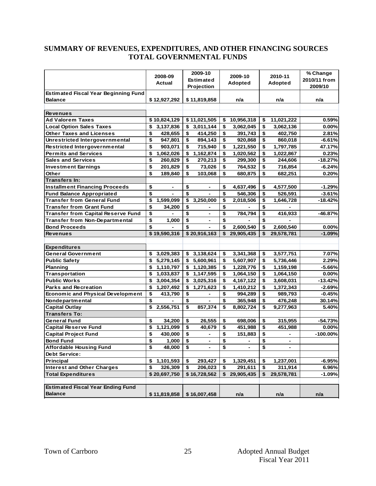#### **SUMMARY OF REVENUES, EXPENDITURES, AND OTHER FINANCING SOURCES TOTAL GOVERNMENTAL FUNDS**

|                                             | 2008-09         | 2009-10          | 2009-10          | 2010-11          | % Change     |
|---------------------------------------------|-----------------|------------------|------------------|------------------|--------------|
|                                             | Actual          | <b>Estimated</b> | Adopted          | Adopted          | 2010/11 from |
|                                             |                 | Projection       |                  |                  | 2009/10      |
| <b>Estimated Fiscal Year Beginning Fund</b> |                 |                  |                  |                  |              |
| <b>Balance</b>                              | \$12,927,292    | \$11,819,858     | n/a              | n/a              | n/a          |
|                                             |                 |                  |                  |                  |              |
| <b>Revenues</b>                             |                 |                  |                  |                  |              |
| <b>Ad Valorem Taxes</b>                     | \$10,824,129    | \$11,021,505     | 10,956,318<br>\$ | 11,021,222<br>\$ | 0.59%        |
| <b>Local Option Sales Taxes</b>             | \$<br>3,137,836 | 3,011,144<br>\$  | 3,062,045<br>\$  | \$<br>3,062,136  | 0.00%        |
| <b>Other Taxes and Licenses</b>             | \$<br>428,655   | \$<br>414,250    | \$<br>391,743    | \$<br>402,750    | 2.81%        |
| Unrestricted Intergovernmental              | \$<br>947,801   | \$<br>894,143    | \$<br>920,868    | \$<br>860,018    | $-6.61%$     |
| Restricted Intergovernmental                | \$<br>903,071   | \$<br>715,940    | \$<br>1,221,550  | \$<br>1,797,785  | 47.17%       |
| <b>Permits and Services</b>                 | \$<br>1,062,026 | \$<br>1,162,874  | \$<br>1,020,562  | \$<br>1,022,867  | 0.23%        |
| <b>Sales and Services</b>                   | \$<br>260,829   | \$<br>270,213    | \$<br>299,300    | \$<br>244,606    | $-18.27%$    |
| <b>Investment Earnings</b>                  | \$<br>201,829   | \$<br>73,026     | \$<br>764,532    | \$<br>716,854    | $-6.24%$     |
| Other                                       | \$<br>189,840   | \$<br>103,068    | \$<br>680,875    | \$<br>682,251    | 0.20%        |
| Transfers In:                               |                 |                  |                  |                  |              |
| <b>Installment Financing Proceeds</b>       | \$<br>-         | \$               | \$<br>4,637,496  | \$<br>4,577,500  | $-1.29%$     |
| <b>Fund Balance Appropriated</b>            | \$              | \$               | \$<br>546,306    | \$<br>526,591    | $-3.61%$     |
| <b>Transfer from General Fund</b>           | \$<br>1,599,099 | \$<br>3,250,000  | \$<br>2,018,506  | \$<br>1,646,728  | $-18.42%$    |
| <b>Transfer from Grant Fund</b>             | \$<br>34,200    | \$               | \$               | \$               |              |
| <b>Transfer from Capital Reserve Fund</b>   | \$              | \$               | \$<br>784,794    | \$<br>416,933    | $-46.87%$    |
| <b>Transfer from Non-Departmental</b>       | \$<br>1,000     | \$               | \$               | \$               |              |
| <b>Bond Proceeds</b>                        | \$              | \$               | 2,600,540<br>\$  | \$<br>2,600,540  | $0.00\%$     |
| <b>Revenues</b>                             | \$19,590,316    | \$20,916,163     | \$<br>29,905,435 | \$<br>29,578,781 | $-1.09%$     |
|                                             |                 |                  |                  |                  |              |
| <b>Expenditures</b>                         |                 |                  |                  |                  |              |
| <b>General Government</b>                   | \$<br>3,029,383 | 3,138,624<br>\$  | 3,341,368<br>\$  | 3,577,751<br>\$  | 7.07%        |
| <b>Public Safety</b>                        | \$<br>5,279,145 | \$<br>5,600,961  | \$<br>5,607,907  | \$<br>5,736,446  | 2.29%        |
| Planning                                    | \$<br>1,110,797 | \$1,120,385      | \$<br>1,228,776  | \$<br>1,159,198  | $-5.66%$     |
| Transportation                              | \$<br>1,033,837 | 1,147,595<br>\$  | \$<br>1,064,150  | \$<br>1,064,150  | $0.00\%$     |
| <b>Public Works</b>                         | \$<br>3,004,354 | 3,025,316<br>\$  | \$<br>4,167,122  | \$<br>3,608,031  | $-13.42%$    |
| <b>Parks and Recreation</b>                 | \$<br>1,207,492 | 1,271,623<br>\$  | \$<br>1,410,212  | \$<br>1,372,343  | $-2.69%$     |
| Economic and Physical Development           | \$<br>413,790   | \$               | \$<br>994,289    | \$<br>989,793    | $-0.45%$     |
| Nondepartmental                             | \$              | \$               | \$<br>365,948    | \$<br>476,248    | 30.14%       |
| <b>Capital Outlay</b>                       | \$<br>2,556,751 | \$<br>857,374    | \$<br>8,802,724  | \$<br>9,277,963  | 5.40%        |
| <b>Transfers To:</b>                        |                 |                  |                  |                  |              |
| <b>General Fund</b>                         | \$<br>34,200    | \$<br>26,555     | \$<br>698,006    | \$<br>315,955    | $-54.73%$    |
| <b>Capital Reserve Fund</b>                 | \$<br>1,121,099 | \$<br>40,679     | \$<br>451,988    | \$<br>451,988    | 0.00%        |
| <b>Capital Project Fund</b>                 | \$<br>430,000   | \$               | \$<br>151,883    | \$               | $-100.00\%$  |
| <b>Bond Fund</b>                            | \$<br>1,000     | \$               | \$               | \$               |              |
| <b>Affordable Housing Fund</b>              | \$<br>48,000    | \$               | \$               | \$               |              |
| <b>Debt Service:</b>                        |                 |                  |                  |                  |              |
| Principal                                   | 1,101,593<br>\$ | 293,427<br>\$    | 1,329,451<br>\$  | 1,237,001<br>\$  | $-6.95%$     |
| <b>Interest and Other Charges</b>           | \$<br>326,309   | \$<br>206,023    | \$<br>291,611    | \$<br>311,914    | 6.96%        |
| <b>Total Expenditures</b>                   | \$20,697,750    | \$16,728,562     | 29,905,435<br>\$ | \$<br>29,578,781 | $-1.09%$     |
|                                             |                 |                  |                  |                  |              |
| <b>Estimated Fiscal Year Ending Fund</b>    |                 |                  |                  |                  |              |
| <b>Balance</b>                              | \$11,819,858    | \$16,007,458     | n/a              | n/a              | n/a          |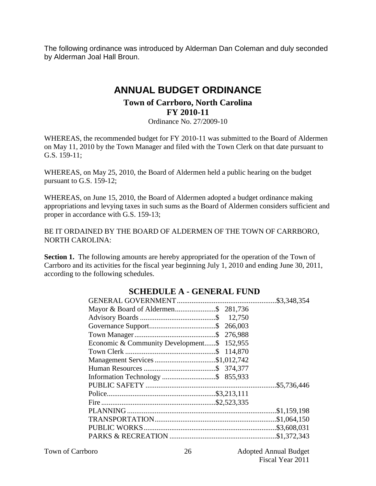The following ordinance was introduced by Alderman Dan Coleman and duly seconded by Alderman Joal Hall Broun.

# **ANNUAL BUDGET ORDINANCE Town of Carrboro, North Carolina FY 2010-11**

Ordinance No. 27/2009-10

WHEREAS, the recommended budget for FY 2010-11 was submitted to the Board of Aldermen on May 11, 2010 by the Town Manager and filed with the Town Clerk on that date pursuant to G.S. 159-11;

WHEREAS, on May 25, 2010, the Board of Aldermen held a public hearing on the budget pursuant to G.S. 159-12;

WHEREAS, on June 15, 2010, the Board of Aldermen adopted a budget ordinance making appropriations and levying taxes in such sums as the Board of Aldermen considers sufficient and proper in accordance with G.S. 159-13;

BE IT ORDAINED BY THE BOARD OF ALDERMEN OF THE TOWN OF CARRBORO, NORTH CAROLINA:

**Section 1.** The following amounts are hereby appropriated for the operation of the Town of Carrboro and its activities for the fiscal year beginning July 1, 2010 and ending June 30, 2011, according to the following schedules.

| Economic & Community Development\$ 152,955 |  |
|--------------------------------------------|--|
|                                            |  |
| Management Services \$1,012,742            |  |
|                                            |  |
|                                            |  |
|                                            |  |
|                                            |  |
|                                            |  |
|                                            |  |
|                                            |  |
|                                            |  |
|                                            |  |

## **SCHEDULE A - GENERAL FUND**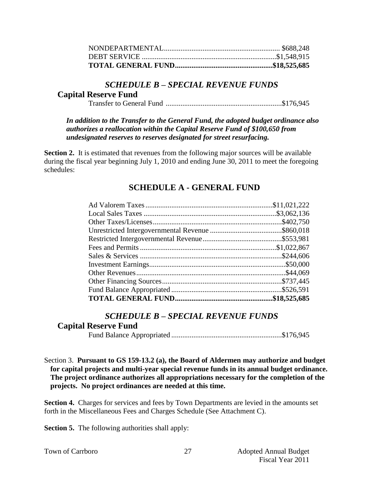#### *SCHEDULE B – SPECIAL REVENUE FUNDS*

#### **Capital Reserve Fund**

Transfer to General Fund ...............................................................\$176,945

*In addition to the Transfer to the General Fund, the adopted budget ordinance also authorizes a reallocation within the Capital Reserve Fund of \$100,650 from undesignated reserves to reserves designated for street resurfacing.* 

**Section 2.** It is estimated that revenues from the following major sources will be available during the fiscal year beginning July 1, 2010 and ending June 30, 2011 to meet the foregoing schedules:

### **SCHEDULE A - GENERAL FUND**

#### *SCHEDULE B – SPECIAL REVENUE FUNDS*

#### **Capital Reserve Fund**

Fund Balance Appropriated ............................................................\$176,945

Section 3. **Pursuant to GS 159-13.2 (a), the Board of Aldermen may authorize and budget for capital projects and multi-year special revenue funds in its annual budget ordinance. The project ordinance authorizes all appropriations necessary for the completion of the projects. No project ordinances are needed at this time.**

**Section 4.** Charges for services and fees by Town Departments are levied in the amounts set forth in the Miscellaneous Fees and Charges Schedule (See Attachment C).

**Section 5.** The following authorities shall apply: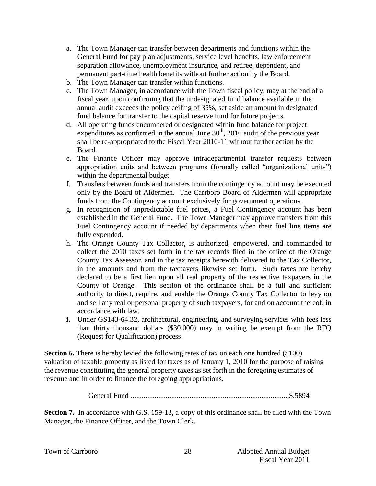- a. The Town Manager can transfer between departments and functions within the General Fund for pay plan adjustments, service level benefits, law enforcement separation allowance, unemployment insurance, and retiree, dependent, and permanent part-time health benefits without further action by the Board.
- b. The Town Manager can transfer within functions.
- c. The Town Manager, in accordance with the Town fiscal policy, may at the end of a fiscal year, upon confirming that the undesignated fund balance available in the annual audit exceeds the policy ceiling of 35%, set aside an amount in designated fund balance for transfer to the capital reserve fund for future projects.
- d. All operating funds encumbered or designated within fund balance for project expenditures as confirmed in the annual June  $30<sup>th</sup>$ , 2010 audit of the previous year shall be re-appropriated to the Fiscal Year 2010-11 without further action by the Board.
- e. The Finance Officer may approve intradepartmental transfer requests between appropriation units and between programs (formally called "organizational units") within the departmental budget.
- f. Transfers between funds and transfers from the contingency account may be executed only by the Board of Aldermen. The Carrboro Board of Aldermen will appropriate funds from the Contingency account exclusively for government operations.
- g. In recognition of unpredictable fuel prices, a Fuel Contingency account has been established in the General Fund. The Town Manager may approve transfers from this Fuel Contingency account if needed by departments when their fuel line items are fully expended.
- h. The Orange County Tax Collector, is authorized, empowered, and commanded to collect the 2010 taxes set forth in the tax records filed in the office of the Orange County Tax Assessor, and in the tax receipts herewith delivered to the Tax Collector, in the amounts and from the taxpayers likewise set forth. Such taxes are hereby declared to be a first lien upon all real property of the respective taxpayers in the County of Orange. This section of the ordinance shall be a full and sufficient authority to direct, require, and enable the Orange County Tax Collector to levy on and sell any real or personal property of such taxpayers, for and on account thereof, in accordance with law.
- **i.** Under GS143-64.32, architectural, engineering, and surveying services with fees less than thirty thousand dollars (\$30,000) may in writing be exempt from the RFQ (Request for Qualification) process.

**Section 6.** There is hereby levied the following rates of tax on each one hundred (\$100) valuation of taxable property as listed for taxes as of January 1, 2010 for the purpose of raising the revenue constituting the general property taxes as set forth in the foregoing estimates of revenue and in order to finance the foregoing appropriations.

General Fund ......................................................................................\$.5894

**Section 7.** In accordance with G.S. 159-13, a copy of this ordinance shall be filed with the Town Manager, the Finance Officer, and the Town Clerk.